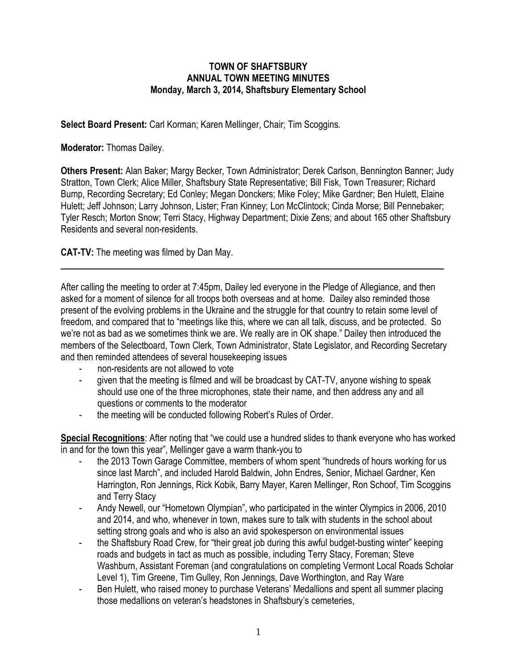## **TOWN OF SHAFTSBURY ANNUAL TOWN MEETING MINUTES Monday, March 3, 2014, Shaftsbury Elementary School**

**Select Board Present:** Carl Korman; Karen Mellinger, Chair; Tim Scoggins*.*

**Moderator:** Thomas Dailey.

**Others Present:** Alan Baker; Margy Becker, Town Administrator; Derek Carlson, Bennington Banner; Judy Stratton, Town Clerk; Alice Miller, Shaftsbury State Representative; Bill Fisk, Town Treasurer; Richard Bump, Recording Secretary; Ed Conley; Megan Donckers; Mike Foley; Mike Gardner; Ben Hulett, Elaine Hulett; Jeff Johnson; Larry Johnson, Lister; Fran Kinney; Lon McClintock; Cinda Morse; Bill Pennebaker; Tyler Resch; Morton Snow; Terri Stacy, Highway Department; Dixie Zens; and about 165 other Shaftsbury Residents and several non-residents.

**CAT-TV:** The meeting was filmed by Dan May.

After calling the meeting to order at 7:45pm, Dailey led everyone in the Pledge of Allegiance, and then asked for a moment of silence for all troops both overseas and at home. Dailey also reminded those present of the evolving problems in the Ukraine and the struggle for that country to retain some level of freedom, and compared that to "meetings like this, where we can all talk, discuss, and be protected. So we're not as bad as we sometimes think we are. We really are in OK shape." Dailey then introduced the members of the Selectboard, Town Clerk, Town Administrator, State Legislator, and Recording Secretary and then reminded attendees of several housekeeping issues

- non-residents are not allowed to vote
- given that the meeting is filmed and will be broadcast by CAT-TV, anyone wishing to speak should use one of the three microphones, state their name, and then address any and all questions or comments to the moderator
- the meeting will be conducted following Robert's Rules of Order.

**Special Recognitions**: After noting that "we could use a hundred slides to thank everyone who has worked in and for the town this year", Mellinger gave a warm thank-you to

- the 2013 Town Garage Committee, members of whom spent "hundreds of hours working for us since last March", and included Harold Baldwin, John Endres, Senior, Michael Gardner, Ken Harrington, Ron Jennings, Rick Kobik, Barry Mayer, Karen Mellinger, Ron Schoof, Tim Scoggins and Terry Stacy
- Andy Newell, our "Hometown Olympian", who participated in the winter Olympics in 2006, 2010 and 2014, and who, whenever in town, makes sure to talk with students in the school about setting strong goals and who is also an avid spokesperson on environmental issues
- the Shaftsbury Road Crew, for "their great job during this awful budget-busting winter" keeping roads and budgets in tact as much as possible, including Terry Stacy, Foreman; Steve Washburn, Assistant Foreman (and congratulations on completing Vermont Local Roads Scholar Level 1), Tim Greene, Tim Gulley, Ron Jennings, Dave Worthington, and Ray Ware
- Ben Hulett, who raised money to purchase Veterans' Medallions and spent all summer placing those medallions on veteran's headstones in Shaftsbury's cemeteries,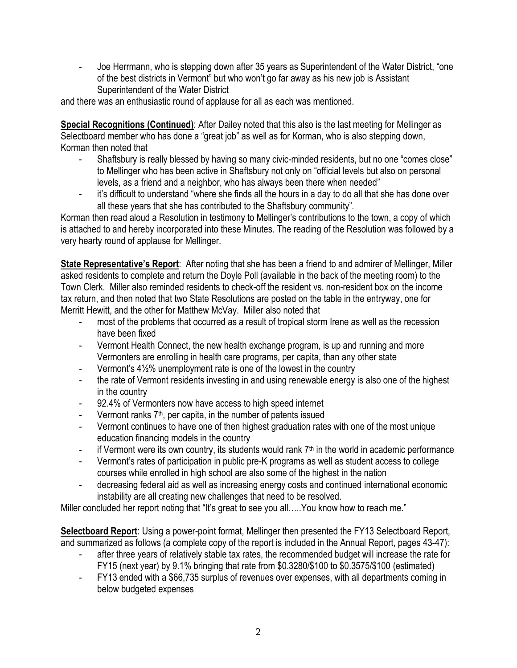- Joe Herrmann, who is stepping down after 35 years as Superintendent of the Water District, "one of the best districts in Vermont" but who won't go far away as his new job is Assistant Superintendent of the Water District

and there was an enthusiastic round of applause for all as each was mentioned.

**Special Recognitions (Continued)**: After Dailey noted that this also is the last meeting for Mellinger as Selectboard member who has done a "great job" as well as for Korman, who is also stepping down, Korman then noted that

- Shaftsbury is really blessed by having so many civic-minded residents, but no one "comes close" to Mellinger who has been active in Shaftsbury not only on "official levels but also on personal levels, as a friend and a neighbor, who has always been there when needed"
- it's difficult to understand "where she finds all the hours in a day to do all that she has done over all these years that she has contributed to the Shaftsbury community".

Korman then read aloud a Resolution in testimony to Mellinger's contributions to the town, a copy of which is attached to and hereby incorporated into these Minutes. The reading of the Resolution was followed by a very hearty round of applause for Mellinger.

**State Representative's Report**: After noting that she has been a friend to and admirer of Mellinger, Miller asked residents to complete and return the Doyle Poll (available in the back of the meeting room) to the Town Clerk. Miller also reminded residents to check-off the resident vs. non-resident box on the income tax return, and then noted that two State Resolutions are posted on the table in the entryway, one for Merritt Hewitt, and the other for Matthew McVay. Miller also noted that

- most of the problems that occurred as a result of tropical storm Irene as well as the recession have been fixed
- Vermont Health Connect, the new health exchange program, is up and running and more Vermonters are enrolling in health care programs, per capita, than any other state
- Vermont's 4½% unemployment rate is one of the lowest in the country
- the rate of Vermont residents investing in and using renewable energy is also one of the highest in the country
- 92.4% of Vermonters now have access to high speed internet
- Vermont ranks 7<sup>th</sup>, per capita, in the number of patents issued
- Vermont continues to have one of then highest graduation rates with one of the most unique education financing models in the country
- if Vermont were its own country, its students would rank  $7<sup>th</sup>$  in the world in academic performance
- Vermont's rates of participation in public pre-K programs as well as student access to college courses while enrolled in high school are also some of the highest in the nation
- decreasing federal aid as well as increasing energy costs and continued international economic instability are all creating new challenges that need to be resolved.

Miller concluded her report noting that "It's great to see you all..... You know how to reach me."

**Selectboard Report**: Using a power-point format, Mellinger then presented the FY13 Selectboard Report, and summarized as follows (a complete copy of the report is included in the Annual Report, pages 43-47):

- after three years of relatively stable tax rates, the recommended budget will increase the rate for FY15 (next year) by 9.1% bringing that rate from \$0.3280/\$100 to \$0.3575/\$100 (estimated)
- FY13 ended with a \$66,735 surplus of revenues over expenses, with all departments coming in below budgeted expenses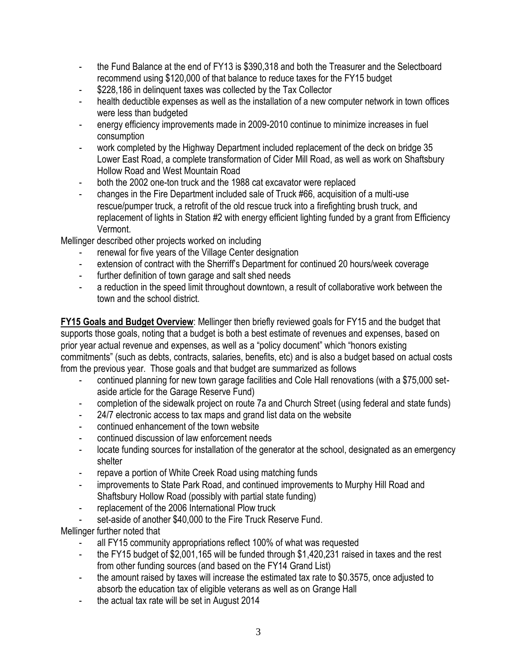- the Fund Balance at the end of FY13 is \$390,318 and both the Treasurer and the Selectboard recommend using \$120,000 of that balance to reduce taxes for the FY15 budget
- \$228,186 in delinquent taxes was collected by the Tax Collector
- health deductible expenses as well as the installation of a new computer network in town offices were less than budgeted
- energy efficiency improvements made in 2009-2010 continue to minimize increases in fuel consumption
- work completed by the Highway Department included replacement of the deck on bridge 35 Lower East Road, a complete transformation of Cider Mill Road, as well as work on Shaftsbury Hollow Road and West Mountain Road
- both the 2002 one-ton truck and the 1988 cat excavator were replaced
- changes in the Fire Department included sale of Truck #66, acquisition of a multi-use rescue/pumper truck, a retrofit of the old rescue truck into a firefighting brush truck, and replacement of lights in Station #2 with energy efficient lighting funded by a grant from Efficiency Vermont.

Mellinger described other projects worked on including

- renewal for five years of the Village Center designation
- extension of contract with the Sherriff's Department for continued 20 hours/week coverage
- further definition of town garage and salt shed needs
- a reduction in the speed limit throughout downtown, a result of collaborative work between the town and the school district.

**FY15 Goals and Budget Overview**: Mellinger then briefly reviewed goals for FY15 and the budget that supports those goals, noting that a budget is both a best estimate of revenues and expenses, based on prior year actual revenue and expenses, as well as a "policy document" which "honors existing commitments" (such as debts, contracts, salaries, benefits, etc) and is also a budget based on actual costs from the previous year. Those goals and that budget are summarized as follows

- continued planning for new town garage facilities and Cole Hall renovations (with a \$75,000 setaside article for the Garage Reserve Fund)
- completion of the sidewalk project on route 7a and Church Street (using federal and state funds)
- 24/7 electronic access to tax maps and grand list data on the website
- continued enhancement of the town website
- continued discussion of law enforcement needs
- locate funding sources for installation of the generator at the school, designated as an emergency shelter
- repave a portion of White Creek Road using matching funds
- improvements to State Park Road, and continued improvements to Murphy Hill Road and Shaftsbury Hollow Road (possibly with partial state funding)
- replacement of the 2006 International Plow truck
- set-aside of another \$40,000 to the Fire Truck Reserve Fund.

Mellinger further noted that

- all FY15 community appropriations reflect 100% of what was requested
- the FY15 budget of \$2,001,165 will be funded through \$1,420,231 raised in taxes and the rest from other funding sources (and based on the FY14 Grand List)
- the amount raised by taxes will increase the estimated tax rate to \$0.3575, once adjusted to absorb the education tax of eligible veterans as well as on Grange Hall
- the actual tax rate will be set in August 2014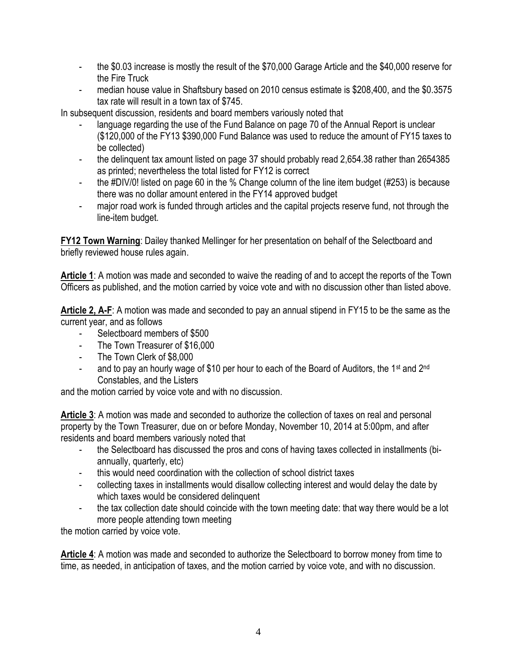- the \$0.03 increase is mostly the result of the \$70,000 Garage Article and the \$40,000 reserve for the Fire Truck
- median house value in Shaftsbury based on 2010 census estimate is \$208,400, and the \$0.3575 tax rate will result in a town tax of \$745.

In subsequent discussion, residents and board members variously noted that

- language regarding the use of the Fund Balance on page 70 of the Annual Report is unclear (\$120,000 of the FY13 \$390,000 Fund Balance was used to reduce the amount of FY15 taxes to be collected)
- the delinguent tax amount listed on page 37 should probably read 2,654.38 rather than 2654385 as printed; nevertheless the total listed for FY12 is correct
- the #DIV/0! listed on page 60 in the % Change column of the line item budget (#253) is because there was no dollar amount entered in the FY14 approved budget
- major road work is funded through articles and the capital projects reserve fund, not through the line-item budget.

**FY12 Town Warning**: Dailey thanked Mellinger for her presentation on behalf of the Selectboard and briefly reviewed house rules again.

**Article 1**: A motion was made and seconded to waive the reading of and to accept the reports of the Town Officers as published, and the motion carried by voice vote and with no discussion other than listed above.

**Article 2, A-F**: A motion was made and seconded to pay an annual stipend in FY15 to be the same as the current year, and as follows

- Selectboard members of \$500
- The Town Treasurer of \$16,000
- The Town Clerk of \$8,000
- and to pay an hourly wage of \$10 per hour to each of the Board of Auditors, the 1<sup>st</sup> and 2<sup>nd</sup> Constables, and the Listers

and the motion carried by voice vote and with no discussion.

**Article 3**: A motion was made and seconded to authorize the collection of taxes on real and personal property by the Town Treasurer, due on or before Monday, November 10, 2014 at 5:00pm, and after residents and board members variously noted that

- the Selectboard has discussed the pros and cons of having taxes collected in installments (biannually, quarterly, etc)
- this would need coordination with the collection of school district taxes
- collecting taxes in installments would disallow collecting interest and would delay the date by which taxes would be considered delinquent
- the tax collection date should coincide with the town meeting date: that way there would be a lot more people attending town meeting

the motion carried by voice vote.

**Article 4**: A motion was made and seconded to authorize the Selectboard to borrow money from time to time, as needed, in anticipation of taxes, and the motion carried by voice vote, and with no discussion.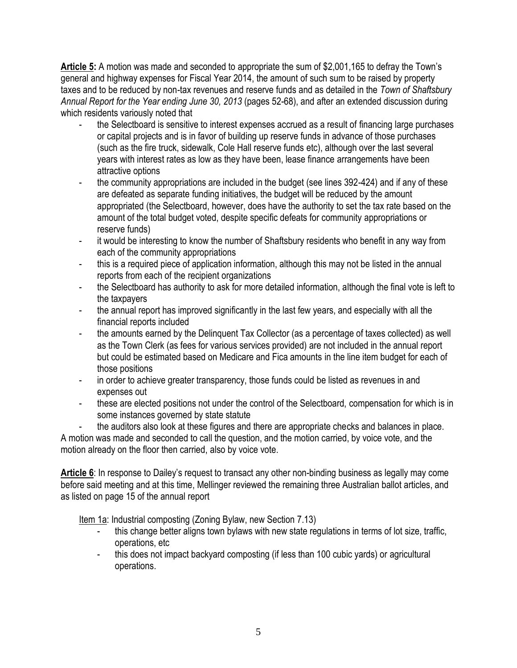**Article 5:** A motion was made and seconded to appropriate the sum of \$2,001,165 to defray the Town's general and highway expenses for Fiscal Year 2014, the amount of such sum to be raised by property taxes and to be reduced by non-tax revenues and reserve funds and as detailed in the *Town of Shaftsbury Annual Report for the Year ending June 30, 2013* (pages 52-68), and after an extended discussion during which residents variously noted that

- the Selectboard is sensitive to interest expenses accrued as a result of financing large purchases or capital projects and is in favor of building up reserve funds in advance of those purchases (such as the fire truck, sidewalk, Cole Hall reserve funds etc), although over the last several years with interest rates as low as they have been, lease finance arrangements have been attractive options
- the community appropriations are included in the budget (see lines 392-424) and if any of these are defeated as separate funding initiatives, the budget will be reduced by the amount appropriated (the Selectboard, however, does have the authority to set the tax rate based on the amount of the total budget voted, despite specific defeats for community appropriations or reserve funds)
- it would be interesting to know the number of Shaftsbury residents who benefit in any way from each of the community appropriations
- this is a required piece of application information, although this may not be listed in the annual reports from each of the recipient organizations
- the Selectboard has authority to ask for more detailed information, although the final vote is left to the taxpayers
- the annual report has improved significantly in the last few years, and especially with all the financial reports included
- the amounts earned by the Delinquent Tax Collector (as a percentage of taxes collected) as well as the Town Clerk (as fees for various services provided) are not included in the annual report but could be estimated based on Medicare and Fica amounts in the line item budget for each of those positions
- in order to achieve greater transparency, those funds could be listed as revenues in and expenses out
- these are elected positions not under the control of the Selectboard, compensation for which is in some instances governed by state statute
- the auditors also look at these figures and there are appropriate checks and balances in place.

A motion was made and seconded to call the question, and the motion carried, by voice vote, and the motion already on the floor then carried, also by voice vote.

**Article 6**: In response to Dailey's request to transact any other non-binding business as legally may come before said meeting and at this time, Mellinger reviewed the remaining three Australian ballot articles, and as listed on page 15 of the annual report

Item 1a: Industrial composting (Zoning Bylaw, new Section 7.13)

- this change better aligns town bylaws with new state regulations in terms of lot size, traffic, operations, etc
- this does not impact backyard composting (if less than 100 cubic yards) or agricultural operations.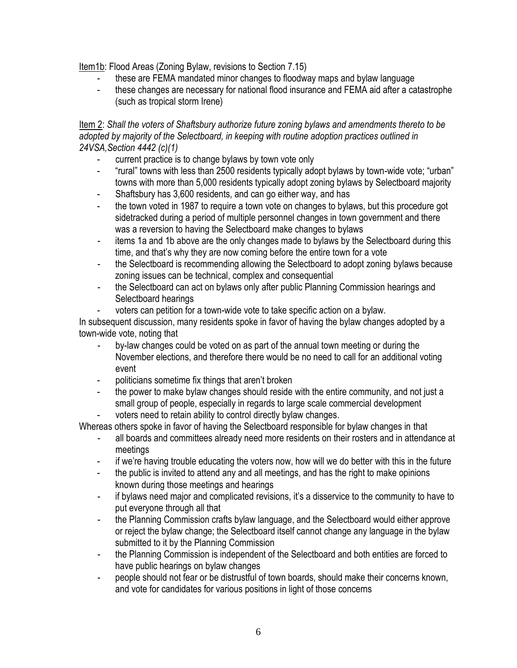Item1b: Flood Areas (Zoning Bylaw, revisions to Section 7.15)

- these are FEMA mandated minor changes to floodway maps and bylaw language
- these changes are necessary for national flood insurance and FEMA aid after a catastrophe (such as tropical storm Irene)

Item 2: *Shall the voters of Shaftsbury authorize future zoning bylaws and amendments thereto to be adopted by majority of the Selectboard, in keeping with routine adoption practices outlined in 24VSA,Section 4442 (c)(1)*

- current practice is to change bylaws by town vote only
- "rural" towns with less than 2500 residents typically adopt bylaws by town-wide vote; "urban" towns with more than 5,000 residents typically adopt zoning bylaws by Selectboard majority
- Shaftsbury has 3,600 residents, and can go either way, and has
- the town voted in 1987 to require a town vote on changes to bylaws, but this procedure got sidetracked during a period of multiple personnel changes in town government and there was a reversion to having the Selectboard make changes to bylaws
- items 1a and 1b above are the only changes made to bylaws by the Selectboard during this time, and that's why they are now coming before the entire town for a vote
- the Selectboard is recommending allowing the Selectboard to adopt zoning bylaws because zoning issues can be technical, complex and consequential
- the Selectboard can act on bylaws only after public Planning Commission hearings and Selectboard hearings
- voters can petition for a town-wide vote to take specific action on a bylaw.

In subsequent discussion, many residents spoke in favor of having the bylaw changes adopted by a town-wide vote, noting that

- by-law changes could be voted on as part of the annual town meeting or during the November elections, and therefore there would be no need to call for an additional voting event
- politicians sometime fix things that aren't broken
- the power to make bylaw changes should reside with the entire community, and not just a small group of people, especially in regards to large scale commercial development
- voters need to retain ability to control directly bylaw changes.

Whereas others spoke in favor of having the Selectboard responsible for bylaw changes in that

- all boards and committees already need more residents on their rosters and in attendance at meetings
- if we're having trouble educating the voters now, how will we do better with this in the future
- the public is invited to attend any and all meetings, and has the right to make opinions known during those meetings and hearings
- if bylaws need major and complicated revisions, it's a disservice to the community to have to put everyone through all that
- the Planning Commission crafts bylaw language, and the Selectboard would either approve or reject the bylaw change; the Selectboard itself cannot change any language in the bylaw submitted to it by the Planning Commission
- the Planning Commission is independent of the Selectboard and both entities are forced to have public hearings on bylaw changes
- people should not fear or be distrustful of town boards, should make their concerns known, and vote for candidates for various positions in light of those concerns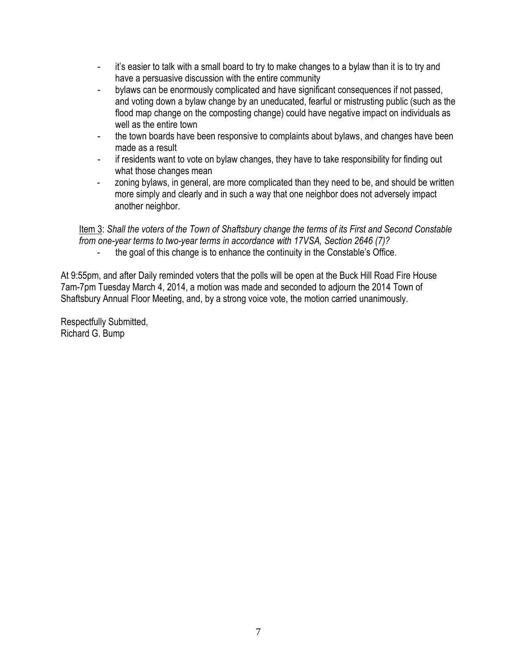- it's easier to talk with a small board to try to make changes to a bylaw than it is to try and have a persuasive discussion with the entire community
- bylaws can be enormously complicated and have significant consequences if not passed, and voting down a bylaw change by an uneducated, fearful or mistrusting public (such as the flood map change on the composting change) could have negative impact on individuals as well as the entire town
- the town boards have been responsive to complaints about bylaws, and changes have been made as a result
- if residents want to vote on bylaw changes, they have to take responsibility for finding out what those changes mean
- zoning bylaws, in general, are more complicated than they need to be, and should be written more simply and clearly and in such a way that one neighbor does not adversely impact another neighbor.

Item 3: *Shall the voters of the Town of Shaftsbury change the terms of its First and Second Constable from one-year terms to two-year terms in accordance with 17VSA, Section 2646 (7)?*

the goal of this change is to enhance the continuity in the Constable's Office.

At 9:55pm, and after Daily reminded voters that the polls will be open at the Buck Hill Road Fire House 7am-7pm Tuesday March 4, 2014, a motion was made and seconded to adjourn the 2014 Town of Shaftsbury Annual Floor Meeting, and, by a strong voice vote, the motion carried unanimously.

Respectfully Submitted, Richard G. Bump